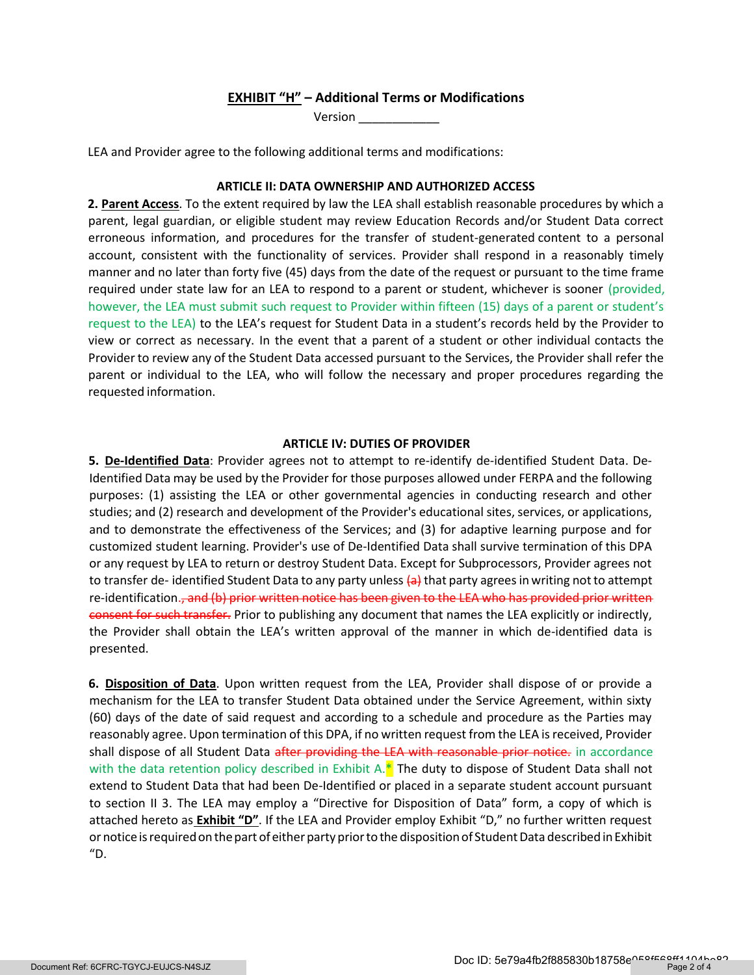# EXHIBIT "H" – Additional Terms or Modifications

Version \_\_\_\_\_\_\_\_\_\_\_\_

LEA and Provider agree to the following additional terms and modifications:

### ARTICLE II: DATA OWNERSHIP AND AUTHORIZED ACCESS

2. Parent Access. To the extent required by law the LEA shall establish reasonable procedures by which a parent, legal guardian, or eligible student may review Education Records and/or Student Data correct erroneous information, and procedures for the transfer of student-generated content to a personal account, consistent with the functionality of services. Provider shall respond in a reasonably timely manner and no later than forty five (45) days from the date of the request or pursuant to the time frame required under state law for an LEA to respond to a parent or student, whichever is sooner (provided, however, the LEA must submit such request to Provider within fifteen (15) days of a parent or student's request to the LEA) to the LEA's request for Student Data in a student's records held by the Provider to view or correct as necessary. In the event that a parent of a student or other individual contacts the Provider to review any of the Student Data accessed pursuant to the Services, the Provider shall refer the parent or individual to the LEA, who will follow the necessary and proper procedures regarding the requested information.

#### ARTICLE IV: DUTIES OF PROVIDER

5. De-Identified Data: Provider agrees not to attempt to re-identify de-identified Student Data. De-Identified Data may be used by the Provider for those purposes allowed under FERPA and the following purposes: (1) assisting the LEA or other governmental agencies in conducting research and other studies; and (2) research and development of the Provider's educational sites, services, or applications, and to demonstrate the effectiveness of the Services; and (3) for adaptive learning purpose and for customized student learning. Provider's use of De-Identified Data shall survive termination of this DPA or any request by LEA to return or destroy Student Data. Except for Subprocessors, Provider agrees not to transfer de-identified Student Data to any party unless (a) that party agrees in writing not to attempt re-identification.<del>, and (b) prior written notice has been given to the LEA who has provided prior written</del> consent for such transfer. Prior to publishing any document that names the LEA explicitly or indirectly, the Provider shall obtain the LEA's written approval of the manner in which de-identified data is presented.

6. Disposition of Data. Upon written request from the LEA, Provider shall dispose of or provide a mechanism for the LEA to transfer Student Data obtained under the Service Agreement, within sixty (60) days of the date of said request and according to a schedule and procedure as the Parties may reasonably agree. Upon termination of this DPA, if no written request from the LEA is received, Provider shall dispose of all Student Data after providing the LEA with reasonable prior notice. in accordance with the data retention policy described in Exhibit A. $*$  The duty to dispose of Student Data shall not extend to Student Data that had been De-Identified or placed in a separate student account pursuant to section II 3. The LEA may employ a "Directive for Disposition of Data" form, a copy of which is attached hereto as Exhibit "D". If the LEA and Provider employ Exhibit "D," no further written request or notice is required on the part of either party prior to the disposition of Student Data described in Exhibit "D.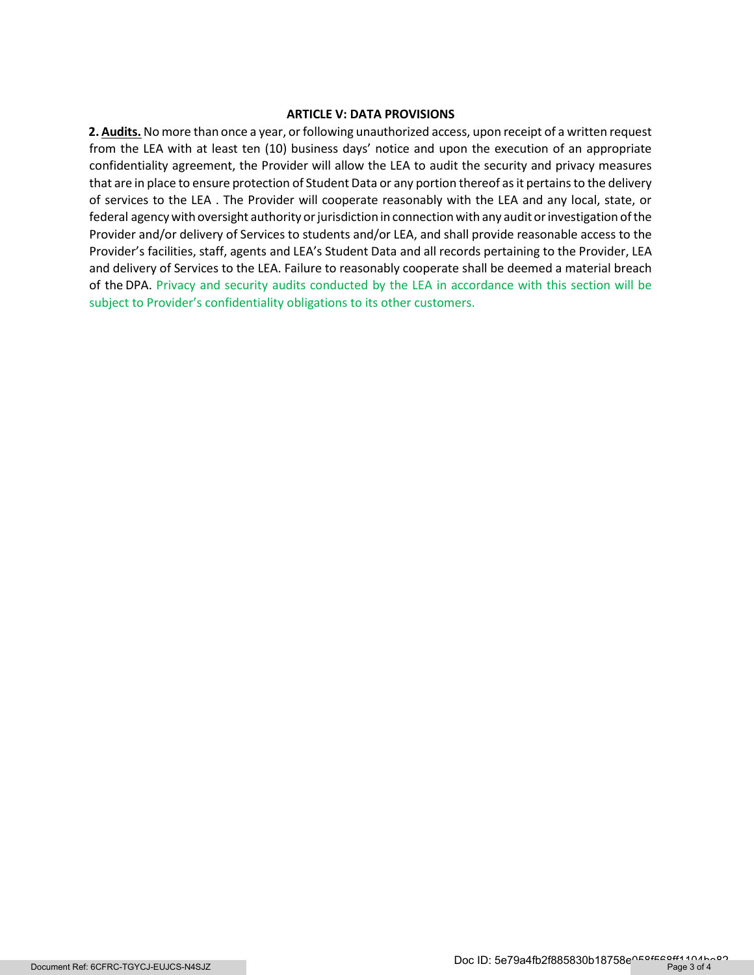## ARTICLE V: DATA PROVISIONS

2. Audits. No more than once a year, or following unauthorized access, upon receipt of a written request from the LEA with at least ten (10) business days' notice and upon the execution of an appropriate confidentiality agreement, the Provider will allow the LEA to audit the security and privacy measures that are in place to ensure protection of Student Data or any portion thereof as it pertains to the delivery of services to the LEA . The Provider will cooperate reasonably with the LEA and any local, state, or federal agency with oversight authority or jurisdiction in connection with any audit or investigation of the Provider and/or delivery of Services to students and/or LEA, and shall provide reasonable access to the Provider's facilities, staff, agents and LEA's Student Data and all records pertaining to the Provider, LEA and delivery of Services to the LEA. Failure to reasonably cooperate shall be deemed a material breach of the DPA. Privacy and security audits conducted by the LEA in accordance with this section will be subject to Provider's confidentiality obligations to its other customers.